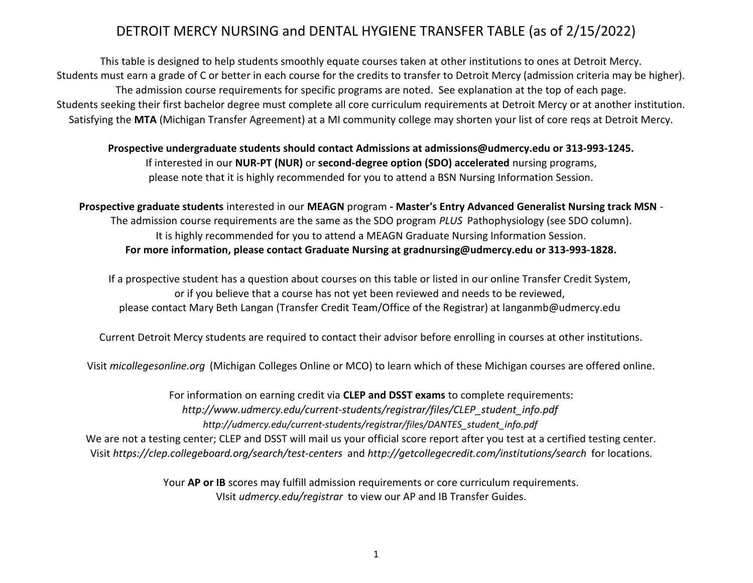This table is designed to help students smoothly equate courses taken at other institutions to ones at Detroit Mercy. Students must earn a grade of C or better in each course for the credits to transfer to Detroit Mercy (admission criteria may be higher). Students seeking their first bachelor degree must complete all core curriculum requirements at Detroit Mercy or at another institution. The admission course requirements for specific programs are noted. See explanation at the top of each page. Satisfying the **MTA** (Michigan Transfer Agreement) at a MI community college may shorten your list of core reqs at Detroit Mercy.

**Prospective undergraduate students should contact Admissions at admissions@udmercy.edu or 313-993-1245.** please note that it is highly recommended for you to attend a BSN Nursing Information Session. If interested in our **NUR-PT (NUR)** or **second-degree option (SDO) accelerated** nursing programs,

**Prospective graduate students** interested in our **MEAGN** program **- Master's Entry Advanced Generalist Nursing track MSN** -

It is highly recommended for you to attend a MEAGN Graduate Nursing Information Session. The admission course requirements are the same as the SDO program *PLUS* Pathophysiology (see SDO column). **For more information, please contact Graduate Nursing at gradnursing@udmercy.edu or 313-993-1828.**

If a prospective student has a question about courses on this table or listed in our online Transfer Credit System, please contact Mary Beth Langan (Transfer Credit Team/Office of the Registrar) at langanmb@udmercy.edu or if you believe that a course has not yet been reviewed and needs to be reviewed,

Current Detroit Mercy students are required to contact their advisor before enrolling in courses at other institutions.

Visit *micollegesonline.org* (Michigan Colleges Online or MCO) to learn which of these Michigan courses are offered online.

*[h](http://www.udmercy.edu/current-students/registrar/files/CLEP_student_info.pdf)ttp://www.udmercy.edu/current-students/registrar/files/CLEP\_student\_info.pdf [h](http://udmercy.edu/current-students/registrar/files/DANTES_student_info.pdf)ttp://udmercy.edu/current-students/registrar/files/DANTES\_student\_info.pdf* For information on earning credit via **CLEP and DSST exams** to complete requirements: Visit *https://clep.collegeboard.org/search/test-centers* and *http://getcollegecredit.com/institutions/search* for locations. We are not a testing center; CLEP and DSST will mail us your official score report after you test at a certified testing center.

> VIsit *udmercy.edu/registrar* to view our AP and IB Transfer Guides. Your **AP or IB** scores may fulfill admission requirements or core curriculum requirements.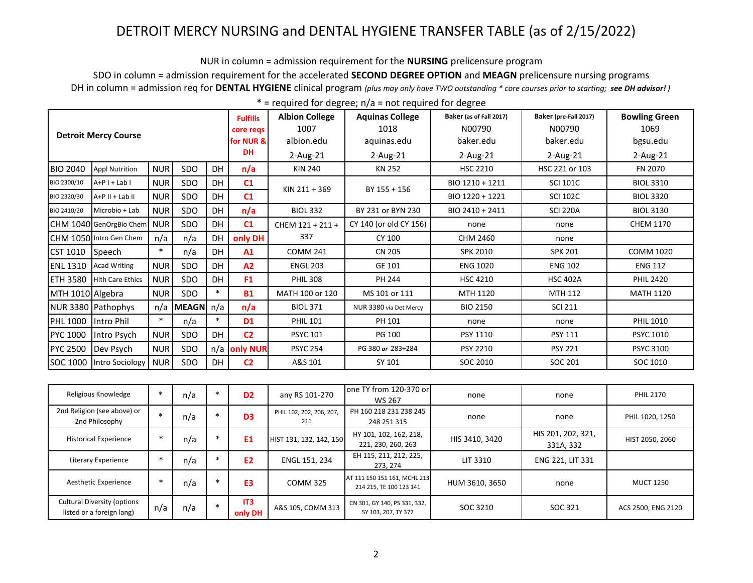NUR in column = admission requirement for the **NURSING** prelicensure program

SDO in column = admission requirement for the accelerated **SECOND DEGREE OPTION** and **MEAGN** prelicensure nursing programs DH in column = admission req for **DENTAL HYGIENE** clinical program *(plus may only have TWO outstanding \* core courses prior to starting; see DH advisor! )*

|                  |                             |            |                    |           | <b>Fulfills</b><br>core regs | <b>Albion College</b><br>1007 | <b>Aquinas College</b><br>1018 | Baker (as of Fall 2017)<br>N00790 | Baker (pre-Fall 2017)<br>N00790 | <b>Bowling Green</b><br>1069 |
|------------------|-----------------------------|------------|--------------------|-----------|------------------------------|-------------------------------|--------------------------------|-----------------------------------|---------------------------------|------------------------------|
|                  | <b>Detroit Mercy Course</b> |            |                    |           | for NUR &                    | albion.edu                    | aquinas.edu                    | baker.edu                         | baker.edu                       | bgsu.edu                     |
|                  |                             |            |                    |           | <b>DH</b>                    | $2$ -Aug-21                   | $2$ -Aug-21                    | $2$ -Aug-21                       | 2-Aug-21                        | 2-Aug-21                     |
| <b>BIO 2040</b>  | <b>Appl Nutrition</b>       | <b>NUR</b> | <b>SDO</b>         | <b>DH</b> | n/a                          | <b>KIN 240</b>                | KN 252                         | <b>HSC 2210</b>                   | HSC 221 or 103                  | FN 2070                      |
| BIO 2300/10      | $A+P I + Lab I$             | <b>NUR</b> | <b>SDO</b>         | <b>DH</b> | C1                           | KIN 211 + 369                 | BY 155 + 156                   | BIO 1210 + 1211                   | <b>SCI 101C</b>                 | <b>BIOL 3310</b>             |
| BIO 2320/30      | A+P II + Lab II             | <b>NUR</b> | <b>SDO</b>         | <b>DH</b> | C1                           |                               |                                | BIO 1220 + 1221                   | <b>SCI 102C</b>                 | <b>BIOL 3320</b>             |
| BIO 2410/20      | Microbio + Lab              | <b>NUR</b> | <b>SDO</b>         | <b>DH</b> | n/a                          | <b>BIOL 332</b>               | BY 231 or BYN 230              | BIO 2410 + 2411                   | <b>SCI 220A</b>                 | <b>BIOL 3130</b>             |
|                  | CHM 1040 GenOrgBio Chem NUR |            | <b>SDO</b>         | DH        | C <sub>1</sub>               | CHEM 121 + 211 +              | CY 140 (or old CY 156)         | none                              | none                            | <b>CHEM 1170</b>             |
|                  | CHM 1050 Intro Gen Chem     | n/a        | n/a                | DH        | only DH                      | 337                           | CY 100                         | CHM 2460                          | none                            |                              |
| CST 1010         | <b>Speech</b>               | $\ast$     | n/a                | DH        | A1                           | <b>COMM 241</b>               | <b>CN 205</b>                  | <b>SPK 2010</b>                   | <b>SPK 201</b>                  | <b>COMM 1020</b>             |
| <b>ENL 1310</b>  | <b>Acad Writing</b>         | <b>NUR</b> | SDO                | DH        | A2                           | <b>ENGL 203</b>               | GE 101                         | <b>ENG 1020</b>                   | <b>ENG 102</b>                  | <b>ENG 112</b>               |
| ETH 3580         | <b>Hith Care Ethics</b>     | <b>NUR</b> | SDO                | DH        | F <sub>1</sub>               | <b>PHIL 308</b>               | PH 244                         | <b>HSC 4210</b>                   | <b>HSC 402A</b>                 | <b>PHIL 2420</b>             |
| MTH 1010 Algebra |                             | <b>NUR</b> | SDO.               | $\ast$    | <b>B1</b>                    | MATH 100 or 120               | MS 101 or 111                  | MTH 1120                          | <b>MTH 112</b>                  | <b>MATH 1120</b>             |
|                  | NUR 3380 Pathophys          | n/a        | <b>MEAGN</b> $n/a$ |           | n/a                          | <b>BIOL 371</b>               | NUR 3380 via Det Mercy         | <b>BIO 2150</b>                   | <b>SCI 211</b>                  |                              |
| PHL 1000         | Intro Phil                  | $\ast$     | n/a                | $\ast$    | D <sub>1</sub>               | <b>PHIL 101</b>               | PH 101                         | none                              | none                            | <b>PHIL 1010</b>             |
| PYC 1000         | Intro Psych                 | <b>NUR</b> | <b>SDO</b>         | DH        | C <sub>2</sub>               | <b>PSYC 101</b>               | PG 100                         | PSY 1110                          | <b>PSY 111</b>                  | <b>PSYC 1010</b>             |
| PYC 2500         | Dev Psych                   | <b>NUR</b> | <b>SDO</b>         | n/a       | only NUR                     | <b>PSYC 254</b>               | PG 380 or 283+284              | <b>PSY 2210</b>                   | <b>PSY 221</b>                  | <b>PSYC 3100</b>             |
| SOC 1000         | Intro Sociology             | <b>NUR</b> | <b>SDO</b>         | DH        | C <sub>2</sub>               | A&S 101                       | SY 101                         | SOC 2010                          | SOC 201                         | SOC 1010                     |

| Religious Knowledge                                             | $\ast$ | n/a | $\ast$ | D <sub>2</sub>             | any RS 101-270                  | one TY from 120-370 or<br>WS 267                        | none           | none                            | <b>PHIL 2170</b>   |
|-----------------------------------------------------------------|--------|-----|--------|----------------------------|---------------------------------|---------------------------------------------------------|----------------|---------------------------------|--------------------|
| 2nd Religion (see above) or<br>2nd Philosophy                   |        | n/a |        | D <sub>3</sub>             | PHIL 102, 202, 206, 207,<br>211 | PH 160 218 231 238 245<br>248 251 315                   | none           | none                            | PHIL 1020, 1250    |
| <b>Historical Experience</b>                                    |        | n/a | $\ast$ | E <sub>1</sub>             | HIST 131, 132, 142, 150         | HY 101, 102, 162, 218,<br>221, 230, 260, 263            | HIS 3410, 3420 | HIS 201, 202, 321,<br>331A, 332 | HIST 2050, 2060    |
| Literary Experience                                             |        | n/a |        | <b>E2</b>                  | ENGL 151, 234                   | EH 115, 211, 212, 225,<br>273.274                       | LIT 3310       | ENG 221, LIT 331                |                    |
| Aesthetic Experience                                            |        | n/a |        | E <sub>3</sub>             | <b>COMM 325</b>                 | AT 111 150 151 161, MCHL 213<br>214 215. TE 100 123 141 | HUM 3610, 3650 | none                            | <b>MUCT 1250</b>   |
| <b>Cultural Diversity (options</b><br>listed or a foreign lang) | n/a    | n/a | $\ast$ | IT <sub>3</sub><br>only DH | A&S 105, COMM 313               | CN 301, GY 140, PS 331, 332,<br>SY 103, 207, TY 377     | SOC 3210       | SOC 321                         | ACS 2500, ENG 2120 |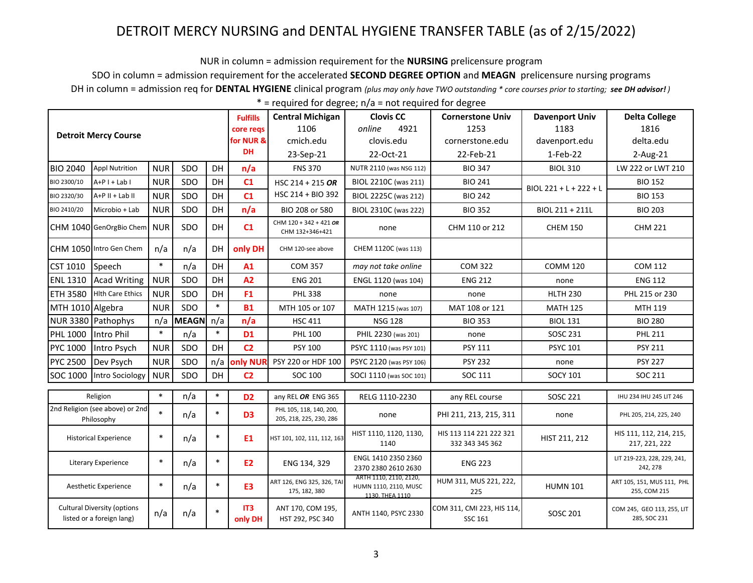NUR in column = admission requirement for the **NURSING** prelicensure program

SDO in column = admission requirement for the accelerated **SECOND DEGREE OPTION** and **MEAGN** prelicensure nursing programs

DH in column = admission req for **DENTAL HYGIENE** clinical program *(plus may only have TWO outstanding \* core courses prior to starting; see DH advisor! )*

|                                                                 |                                 |                |                             |                                | <b>Fulfills</b>                             | <b>Central Michigan</b>                                            | <b>Clovis CC</b>                         | <b>Cornerstone Univ</b>               | <b>Davenport Univ</b>                      | <b>Delta College</b>                       |
|-----------------------------------------------------------------|---------------------------------|----------------|-----------------------------|--------------------------------|---------------------------------------------|--------------------------------------------------------------------|------------------------------------------|---------------------------------------|--------------------------------------------|--------------------------------------------|
|                                                                 |                                 |                |                             |                                | core regs                                   | 1106                                                               | 4921<br>online                           | 1253                                  | 1183                                       | 1816                                       |
|                                                                 | <b>Detroit Mercy Course</b>     |                |                             |                                | for NUR &                                   | cmich.edu                                                          | clovis.edu                               | cornerstone.edu                       | davenport.edu                              | delta.edu                                  |
|                                                                 |                                 |                |                             |                                | <b>DH</b>                                   | 23-Sep-21                                                          | 22-Oct-21                                | 22-Feb-21                             | 1-Feb-22                                   | 2-Aug-21                                   |
| <b>BIO 2040</b>                                                 | <b>Appl Nutrition</b>           | <b>NUR</b>     | SDO                         | DH                             | n/a                                         | <b>FNS 370</b>                                                     | NUTR 2110 (was NSG 112)                  | <b>BIO 347</b>                        | <b>BIOL 310</b>                            | LW 222 or LWT 210                          |
| BIO 2300/10                                                     | $A+P I + Lab I$                 | <b>NUR</b>     | SDO                         | DH                             | C1                                          | HSC 214 + 215 OR                                                   | BIOL 2210C (was 211)                     | <b>BIO 241</b>                        | BIOL 221 + L + 222 + L                     | <b>BIO 152</b>                             |
| BIO 2320/30                                                     | A+P II + Lab II                 | <b>NUR</b>     | SDO                         | DH                             | C <sub>1</sub>                              | HSC 214 + BIO 392                                                  | BIOL 2225C (was 212)                     | <b>BIO 242</b>                        |                                            | <b>BIO 153</b>                             |
| BIO 2410/20                                                     | Microbio + Lab                  | <b>NUR</b>     | SDO                         | DH                             | n/a                                         | BIO 208 or 580                                                     | BIOL 2310C (was 222)                     | <b>BIO 352</b>                        | BIOL 211 + 211L                            | <b>BIO 203</b>                             |
|                                                                 | CHM 1040 GenOrgBio Chem NUR     |                | SDO                         | DH                             | C1                                          | CHM 120 + 342 + 421 OR<br>CHM 132+346+421                          | none                                     | CHM 110 or 212                        | <b>CHEM 150</b>                            | <b>CHM 221</b>                             |
|                                                                 | CHM 1050 Intro Gen Chem         | n/a            | n/a                         | DH                             | only DH                                     | CHM 120-see above                                                  | CHEM 1120C (was 113)                     |                                       |                                            |                                            |
| CST 1010                                                        | Speech                          | $\ast$         | n/a                         | DH                             | A1                                          | <b>COM 357</b>                                                     | may not take online                      | <b>COM 322</b>                        | <b>COMM 120</b>                            | <b>COM 112</b>                             |
| <b>ENL 1310</b>                                                 | <b>Acad Writing</b>             | <b>NUR</b>     | SDO                         | DH                             | A2                                          | <b>ENG 201</b>                                                     | ENGL 1120 (was 104)                      | <b>ENG 212</b>                        | none                                       | <b>ENG 112</b>                             |
| <b>ETH 3580</b>                                                 | <b>Hith Care Ethics</b>         | <b>NUR</b>     | SDO                         | DH                             | F <sub>1</sub>                              | <b>PHL 338</b>                                                     | none                                     | none                                  | <b>HLTH 230</b>                            | PHL 215 or 230                             |
| MTH 1010 Algebra                                                |                                 | <b>NUR</b>     | SDO                         | $\ast$                         | <b>B1</b>                                   | MTH 105 or 107                                                     | MATH 1215 (was 107)                      | MAT 108 or 121                        | <b>MATH 125</b>                            | MTH 119                                    |
|                                                                 | NUR 3380 Pathophys              | n/a            | <b>MEAGN</b>                | n/a                            | n/a                                         | <b>HSC 411</b>                                                     | <b>NSG 128</b>                           | <b>BIO 353</b>                        | <b>BIOL 131</b>                            | <b>BIO 280</b>                             |
| PHL 1000                                                        | Intro Phil                      | $\ast$         | n/a                         | $\ast$                         | <b>D1</b>                                   | <b>PHL 100</b>                                                     | PHIL 2230 (was 201)                      | none                                  | SOSC 231                                   | <b>PHL 211</b>                             |
| PYC 1000                                                        | Intro Psych                     | <b>NUR</b>     | SDO                         | DH                             | C <sub>2</sub>                              | PSY 100                                                            | PSYC 1110 (was PSY 101)                  | <b>PSY 111</b>                        | <b>PSYC 101</b>                            | <b>PSY 211</b>                             |
| PYC 2500                                                        | Dev Psych                       | <b>NUR</b>     | SDO                         | n/a                            | <b>only NUR</b>                             | PSY 220 or HDF 100                                                 | PSYC 2120 (was PSY 106)                  | <b>PSY 232</b>                        | none                                       | <b>PSY 227</b>                             |
| SOC 1000                                                        | Intro Sociology                 | <b>NUR</b>     | SDO                         | DH                             | C <sub>2</sub>                              | SOC 100                                                            | SOCI 1110 (was SOC 101)                  | SOC 111                               | <b>SOCY 101</b>                            | SOC 211                                    |
|                                                                 | Religion                        | $\ast$         | n/a                         | $\ast$                         | D <sub>2</sub>                              |                                                                    |                                          |                                       |                                            | IHU 234 IHU 245 LIT 246                    |
|                                                                 | 2nd Religion (see above) or 2nd |                |                             |                                |                                             | any REL OR ENG 365                                                 | RELG 1110-2230                           | any REL course                        | <b>SOSC 221</b>                            |                                            |
|                                                                 | Philosophy                      | $\ast$         | n/a                         | $\ast$                         | D <sub>3</sub>                              | PHL 105, 118, 140, 200,<br>205, 218, 225, 230, 286                 | none                                     | PHI 211, 213, 215, 311                | none                                       | PHL 205, 214, 225, 240                     |
| $\ast$<br>$\ast$<br><b>Historical Experience</b><br>n/a         |                                 | E <sub>1</sub> | HST 101, 102, 111, 112, 163 | HIST 1110, 1120, 1130,<br>1140 | HIS 113 114 221 222 321<br>332 343 345 362  | HIST 211, 212                                                      | HIS 111, 112, 214, 215,<br>217, 221, 222 |                                       |                                            |                                            |
| $\ast$<br><b>Literary Experience</b><br>n/a                     |                                 |                | $\ast$                      | <b>E2</b>                      | ENG 134, 329                                | ENGL 1410 2350 2360<br>2370 2380 2610 2630                         | <b>ENG 223</b>                           |                                       | LIT 219-223, 228, 229, 241,<br>242, 278    |                                            |
| $\ast$<br>Aesthetic Experience                                  |                                 | n/a            | $\ast$                      | E3                             | ART 126, ENG 325, 326, TAI<br>175, 182, 380 | ARTH 1110, 2110, 2120,<br>HUMN 1110, 2110, MUSC<br>1130. THEA 1110 | HUM 311, MUS 221, 222,<br>225            | <b>HUMN 101</b>                       | ART 105, 151, MUS 111, PHL<br>255, COM 215 |                                            |
| <b>Cultural Diversity (options</b><br>listed or a foreign lang) |                                 | n/a            | n/a                         | $\ast$                         | IT3<br>only DH                              | ANT 170, COM 195,<br>HST 292, PSC 340                              | ANTH 1140, PSYC 2330                     | COM 311, CMI 223, HIS 114,<br>SSC 161 | SOSC 201                                   | COM 245, GEO 113, 255, LIT<br>285, SOC 231 |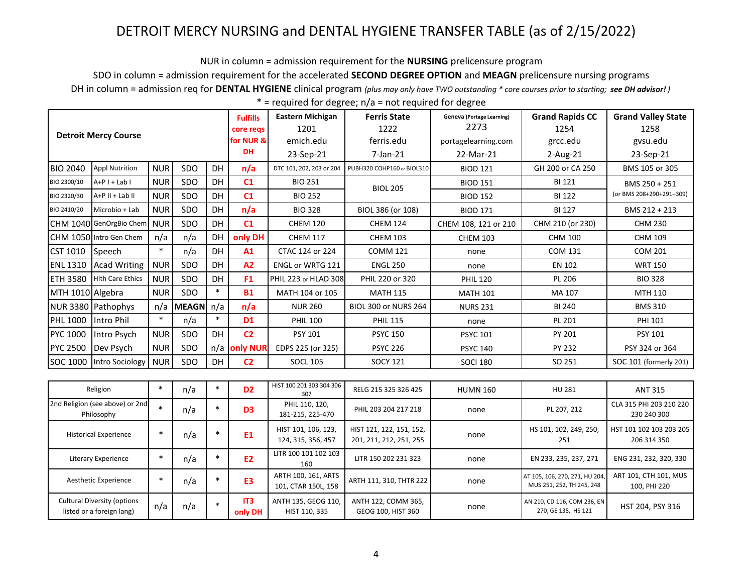NUR in column = admission requirement for the NURSING prelicensure program

SDO in column = admission requirement for the accelerated SECOND DEGREE OPTION and MEAGN prelicensure nursing programs

DH in column = admission req for DENTAL HYGIENE clinical program (plus may only have TWO outstanding \* core courses prior to starting; see DH advisor!)

| $*$ = required for degree; $n/a$ = not required for degree |  |  |
|------------------------------------------------------------|--|--|
|                                                            |  |  |

|                              | <b>Detroit Mercy Course</b>                                     |            |              |           |                            | <b>Eastern Michigan</b><br>1201<br>emich.edu | <b>Ferris State</b><br>1222<br>ferris.edu           | <b>Geneva (Portage Learning)</b><br>2273<br>portagelearning.com | <b>Grand Rapids CC</b><br>1254<br>grcc.edu                 | <b>Grand Valley State</b><br>1258<br>gvsu.edu |
|------------------------------|-----------------------------------------------------------------|------------|--------------|-----------|----------------------------|----------------------------------------------|-----------------------------------------------------|-----------------------------------------------------------------|------------------------------------------------------------|-----------------------------------------------|
|                              |                                                                 |            |              |           | <b>DH</b>                  | 23-Sep-21                                    | $7$ -Jan- $21$                                      | 22-Mar-21                                                       | $2$ -Aug-21                                                | 23-Sep-21                                     |
| <b>BIO 2040</b>              | Appl Nutrition                                                  | <b>NUR</b> | SDO          | <b>DH</b> | n/a                        | DTC 101, 202, 203 or 204                     | PUBH320 COHP160 or BIOL310                          | <b>BIOD 121</b>                                                 | GH 200 or CA 250                                           | BMS 105 or 305                                |
| BIO 2300/10                  | $A+P I + Lab I$                                                 | <b>NUR</b> | SDO          | <b>DH</b> | C1                         | <b>BIO 251</b>                               | <b>BIOL 205</b>                                     | <b>BIOD 151</b>                                                 | <b>BI 121</b>                                              | BMS 250 + 251                                 |
| BIO 2320/30                  | $A+P II + Lab II$                                               | <b>NUR</b> | SDO          | DH        | C1                         | <b>BIO 252</b>                               |                                                     | <b>BIOD 152</b>                                                 | <b>BI 122</b>                                              | (or BMS 208+290+291+309)                      |
| BIO 2410/20                  | Microbio + Lab                                                  | <b>NUR</b> | SDO          | DH        | n/a                        | <b>BIO 328</b>                               | BIOL 386 (or 108)                                   | <b>BIOD 171</b>                                                 | <b>BI 127</b>                                              | BMS 212 + 213                                 |
|                              | CHM 1040 GenOrgBio Chem                                         | <b>NUR</b> | SDO          | <b>DH</b> | C1                         | <b>CHEM 120</b>                              | <b>CHEM 124</b>                                     | CHEM 108, 121 or 210                                            | CHM 210 (or 230)                                           | <b>CHM 230</b>                                |
|                              | CHM 1050 Intro Gen Chem                                         | n/a        | n/a          | DH        | only DH                    | <b>CHEM 117</b>                              | <b>CHEM 103</b>                                     | <b>CHEM 103</b>                                                 | <b>CHM 100</b>                                             | <b>CHM 109</b>                                |
| <b>CST 1010</b>              | Speech                                                          | $\ast$     | n/a          | DH        | A1                         | CTAC 124 or 224                              | <b>COMM 121</b>                                     | none                                                            | <b>COM 131</b>                                             | <b>COM 201</b>                                |
| <b>ENL 1310</b>              | <b>Acad Writing</b>                                             | <b>NUR</b> | SDO          | DH        | A2                         | ENGL or WRTG 121                             | <b>ENGL 250</b>                                     | none                                                            | <b>EN 102</b>                                              | <b>WRT 150</b>                                |
| <b>ETH 3580</b>              | <b>Hith Care Ethics</b>                                         | <b>NUR</b> | SDO          | DH        | F <sub>1</sub>             | PHIL 223 or HLAD 308                         | PHIL 220 or 320                                     | <b>PHIL 120</b>                                                 | PL 206                                                     | <b>BIO 328</b>                                |
| MTH 1010 Algebra             |                                                                 | <b>NUR</b> | SDO          | $\ast$    | <b>B1</b>                  | MATH 104 or 105                              | <b>MATH 115</b>                                     | <b>MATH 101</b>                                                 | MA 107                                                     | MTH 110                                       |
|                              | NUR 3380 Pathophys                                              | n/a        | <b>MEAGN</b> | n/a       | n/a                        | <b>NUR 260</b>                               | <b>BIOL 300 or NURS 264</b>                         | <b>NURS 231</b>                                                 | <b>BI 240</b>                                              | <b>BMS 310</b>                                |
| <b>PHL 1000</b>              | Intro Phil                                                      | $\ast$     | n/a          | $\ast$    | <b>D1</b>                  | <b>PHIL 100</b>                              | <b>PHIL 115</b>                                     | none                                                            | PL 201                                                     | <b>PHI 101</b>                                |
| PYC 1000                     | Intro Psych                                                     | <b>NUR</b> | SDO          | <b>DH</b> | C <sub>2</sub>             | <b>PSY 101</b>                               | <b>PSYC 150</b>                                     | <b>PSYC 101</b>                                                 | PY 201                                                     | PSY 101                                       |
| <b>PYC 2500</b>              | Dev Psych                                                       | <b>NUR</b> | SDO          | n/a       | only NUR                   | EDPS 225 (or 325)                            | <b>PSYC 226</b>                                     | <b>PSYC 140</b>                                                 | PY 232                                                     | PSY 324 or 364                                |
| SOC 1000                     | Intro Sociology                                                 | <b>NUR</b> | SDO          | DH        | C <sub>2</sub>             | <b>SOCL 105</b>                              | <b>SOCY 121</b>                                     | <b>SOCI 180</b>                                                 | SO 251                                                     | SOC 101 (formerly 201)                        |
|                              |                                                                 |            |              |           |                            |                                              |                                                     |                                                                 |                                                            |                                               |
|                              | Religion                                                        | $\ast$     | n/a          | $\ast$    | D <sub>2</sub>             | HIST 100 201 303 304 306<br>307              | RELG 215 325 326 425                                | <b>HUMN 160</b>                                                 | HU 281                                                     | <b>ANT 315</b>                                |
|                              | 2nd Religion (see above) or 2nd<br>Philosophy                   | $\ast$     | n/a          | $\ast$    | D <sub>3</sub>             | PHIL 110, 120,<br>181-215, 225-470           | PHIL 203 204 217 218                                | none                                                            | PL 207, 212                                                | CLA 315 PHI 203 210 220<br>230 240 300        |
| <b>Historical Experience</b> |                                                                 | $\ast$     | n/a          | $\ast$    | E <sub>1</sub>             | HIST 101, 106, 123,<br>124, 315, 356, 457    | HIST 121, 122, 151, 152,<br>201, 211, 212, 251, 255 | none                                                            | HS 101, 102, 249, 250,<br>251                              | HST 101 102 103 203 205<br>206 314 350        |
| <b>Literary Experience</b>   |                                                                 | $\ast$     | n/a          | $\ast$    | E <sub>2</sub>             | LITR 100 101 102 103<br>160                  | LITR 150 202 231 323                                | none                                                            | EN 233, 235, 237, 271                                      | ENG 231, 232, 320, 330                        |
| Aesthetic Experience         |                                                                 | $\ast$     | n/a          | $\ast$    | E <sub>3</sub>             | ARTH 100, 161, ARTS<br>101, CTAR 150L, 158   | ARTH 111, 310, THTR 222                             | none                                                            | AT 105, 106, 270, 271, HU 204<br>MUS 251, 252, TH 245, 248 | ART 101, CTH 101, MUS<br>100, PHI 220         |
|                              | <b>Cultural Diversity (options</b><br>listed or a foreign lang) | n/a        | n/a          | $\ast$    | IT <sub>3</sub><br>only DH | ANTH 135, GEOG 110,<br>HIST 110, 335         | ANTH 122, COMM 365,<br>GEOG 100, HIST 360           | none                                                            | AN 210, CD 116, COM 236, EN<br>270, GE 135, HS 121         | HST 204, PSY 316                              |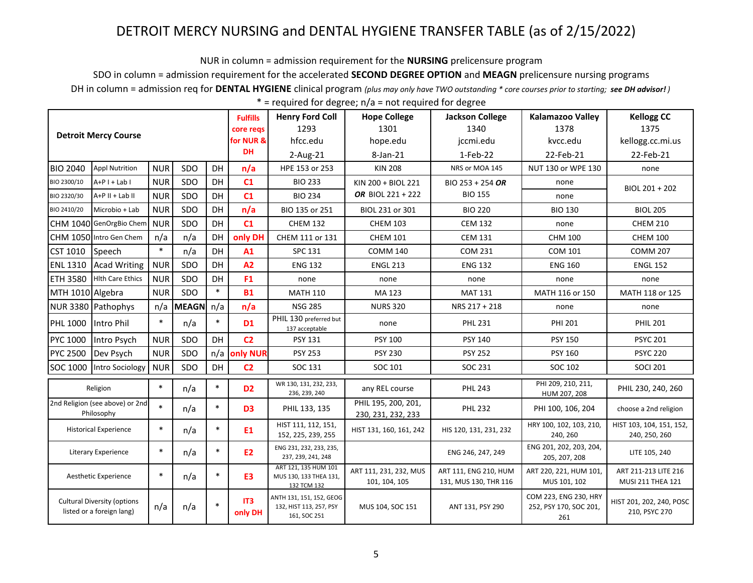NUR in column = admission requirement for the **NURSING** prelicensure program

SDO in column = admission requirement for the accelerated **SECOND DEGREE OPTION** and **MEAGN** prelicensure nursing programs

DH in column = admission req for **DENTAL HYGIENE** clinical program *(plus may only have TWO outstanding \* core courses prior to starting; see DH advisor! )*

|                                                                 |                                               |            |              |        | <b>Fulfills</b>            | <b>Henry Ford Coll</b>                                              | <b>Hope College</b>                       | <b>Jackson College</b>                         | <b>Kalamazoo Valley</b>                                | <b>Kellogg CC</b>                         |
|-----------------------------------------------------------------|-----------------------------------------------|------------|--------------|--------|----------------------------|---------------------------------------------------------------------|-------------------------------------------|------------------------------------------------|--------------------------------------------------------|-------------------------------------------|
|                                                                 | <b>Detroit Mercy Course</b>                   |            |              |        | core regs                  | 1293                                                                | 1301                                      | 1340                                           | 1378                                                   | 1375                                      |
|                                                                 |                                               |            |              |        | for NUR &                  | hfcc.edu                                                            | hope.edu                                  | jccmi.edu                                      | kvcc.edu                                               | kellogg.cc.mi.us                          |
|                                                                 |                                               |            |              |        | <b>DH</b>                  | 2-Aug-21                                                            | 8-Jan-21                                  | 1-Feb-22                                       | 22-Feb-21                                              | 22-Feb-21                                 |
| <b>BIO 2040</b>                                                 | <b>Appl Nutrition</b>                         | <b>NUR</b> | SDO          | DH     | n/a                        | HPE 153 or 253                                                      | <b>KIN 208</b>                            | NRS or MOA 145                                 | NUT 130 or WPE 130                                     | none                                      |
| BIO 2300/10                                                     | $A+P I + Lab I$                               | <b>NUR</b> | SDO          | DH     | C1                         | <b>BIO 233</b>                                                      | KIN 200 + BIOL 221                        | BIO 253 + 254 OR                               | none                                                   | BIOL 201 + 202                            |
| BIO 2320/30                                                     | $A+P II + Lab II$                             | <b>NUR</b> | SDO          | DH     | C1                         | <b>BIO 234</b>                                                      | OR BIOL 221 + 222                         | <b>BIO 155</b>                                 | none                                                   |                                           |
| BIO 2410/20                                                     | Microbio + Lab                                | <b>NUR</b> | SDO          | DH     | n/a                        | BIO 135 or 251                                                      | BIOL 231 or 301                           | <b>BIO 220</b>                                 | <b>BIO 130</b>                                         | <b>BIOL 205</b>                           |
|                                                                 | CHM 1040 GenOrgBio Chem                       | <b>NUR</b> | SDO          | DH     | C1                         | <b>CHEM 132</b>                                                     | <b>CHEM 103</b>                           | <b>CEM 132</b>                                 | none                                                   | <b>CHEM 210</b>                           |
|                                                                 | CHM 1050 Intro Gen Chem                       | n/a        | n/a          | DH     | only DH                    | CHEM 111 or 131                                                     | <b>CHEM 101</b>                           | <b>CEM 131</b>                                 | <b>CHM 100</b>                                         | <b>CHEM 100</b>                           |
| <b>CST 1010</b>                                                 | Speech                                        | $\ast$     | n/a          | DH     | A1                         | <b>SPC 131</b>                                                      | <b>COMM 140</b>                           | <b>COM 231</b>                                 | <b>COM 101</b>                                         | <b>COMM 207</b>                           |
| <b>ENL 1310</b>                                                 | <b>Acad Writing</b>                           | <b>NUR</b> | SDO          | DH     | A2                         | <b>ENG 132</b>                                                      | <b>ENGL 213</b>                           | <b>ENG 132</b>                                 | <b>ENG 160</b>                                         | <b>ENGL 152</b>                           |
| <b>ETH 3580</b>                                                 | <b>Hith Care Ethics</b>                       | <b>NUR</b> | SDO          | DH     | F <sub>1</sub>             | none                                                                | none                                      | none                                           | none                                                   | none                                      |
| MTH 1010 Algebra                                                |                                               | <b>NUR</b> | SDO          | $\ast$ | <b>B1</b>                  | <b>MATH 110</b>                                                     | MA 123                                    | <b>MAT 131</b>                                 | MATH 116 or 150                                        | MATH 118 or 125                           |
|                                                                 | NUR 3380 Pathophys                            | n/a        | <b>MEAGN</b> | n/a    | n/a                        | <b>NSG 285</b>                                                      | <b>NURS 320</b>                           | NRS 217 + 218                                  | none                                                   | none                                      |
| PHL 1000                                                        | Intro Phil                                    | $\ast$     | n/a          | $\ast$ | D <sub>1</sub>             | PHIL 130 preferred but<br>137 acceptable                            | none                                      | <b>PHL 231</b>                                 | <b>PHI 201</b>                                         | <b>PHIL 201</b>                           |
| <b>PYC 1000</b>                                                 | Intro Psych                                   | <b>NUR</b> | SDO          | DH     | C <sub>2</sub>             | PSY 131                                                             | PSY 100                                   | PSY 140                                        | <b>PSY 150</b>                                         | <b>PSYC 201</b>                           |
| <b>PYC 2500</b>                                                 | Dev Psych                                     | <b>NUR</b> | SDO          | n/a    | only NUR                   | <b>PSY 253</b>                                                      | <b>PSY 230</b>                            | <b>PSY 252</b>                                 | <b>PSY 160</b>                                         | <b>PSYC 220</b>                           |
| SOC 1000                                                        | Intro Sociology                               | <b>NUR</b> | SDO          | DH     | C <sub>2</sub>             | SOC 131                                                             | SOC 101                                   | SOC 231                                        | SOC 102                                                | <b>SOCI 201</b>                           |
|                                                                 | Religion                                      | $\ast$     | n/a          | $\ast$ | D <sub>2</sub>             | WR 130, 131, 232, 233,<br>236, 239, 240                             | any REL course                            | <b>PHL 243</b>                                 | PHI 209, 210, 211,<br>HUM 207, 208                     | PHIL 230, 240, 260                        |
|                                                                 | 2nd Religion (see above) or 2nd<br>Philosophy | $\ast$     | n/a          | $\ast$ | D <sub>3</sub>             | PHIL 133, 135                                                       | PHIL 195, 200, 201,<br>230, 231, 232, 233 | <b>PHL 232</b>                                 | PHI 100, 106, 204                                      | choose a 2nd religion                     |
| <b>Historical Experience</b>                                    |                                               | $\ast$     | n/a          | $\ast$ | E <sub>1</sub>             | HIST 111, 112, 151,<br>152, 225, 239, 255                           | HIST 131, 160, 161, 242                   | HIS 120, 131, 231, 232                         | HRY 100, 102, 103, 210,<br>240, 260                    | HIST 103, 104, 151, 152,<br>240, 250, 260 |
| <b>Literary Experience</b>                                      |                                               | $\ast$     | n/a          | $\ast$ | <b>E2</b>                  | ENG 231, 232, 233, 235,<br>237, 239, 241, 248                       |                                           | ENG 246, 247, 249                              | ENG 201, 202, 203, 204,<br>205, 207, 208               | LITE 105, 240                             |
|                                                                 | Aesthetic Experience                          | $\ast$     | n/a          | $\ast$ | E <sub>3</sub>             | ART 121, 135 HUM 101<br>MUS 130, 133 THEA 131,<br>132 TCM 132       | ART 111, 231, 232, MUS<br>101, 104, 105   | ART 111, ENG 210, HUM<br>131, MUS 130, THR 116 | ART 220, 221, HUM 101,<br>MUS 101, 102                 | ART 211-213 LITE 216<br>MUSI 211 THEA 121 |
| <b>Cultural Diversity (options</b><br>listed or a foreign lang) |                                               | n/a        | n/a          | $\ast$ | IT <sub>3</sub><br>only DH | ANTH 131, 151, 152, GEOG<br>132, HIST 113, 257, PSY<br>161, SOC 251 | MUS 104, SOC 151                          | ANT 131, PSY 290                               | COM 223, ENG 230, HRY<br>252, PSY 170, SOC 201,<br>261 | HIST 201, 202, 240, POSC<br>210, PSYC 270 |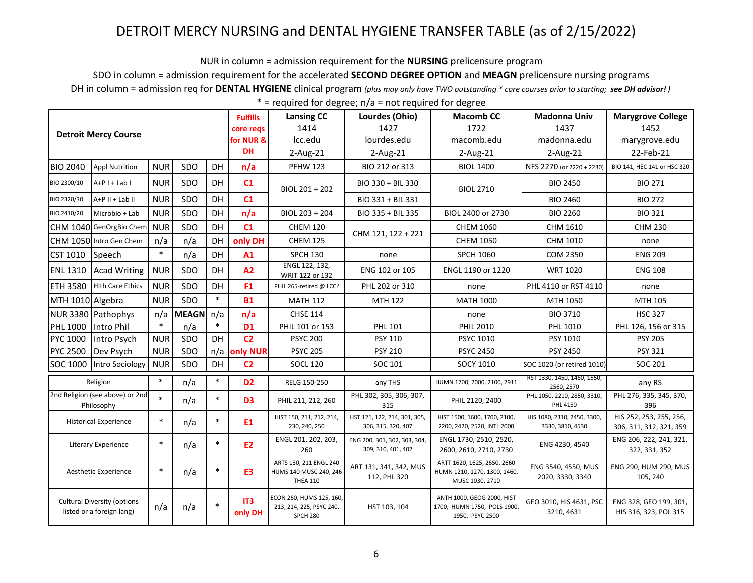NUR in column = admission requirement for the **NURSING** prelicensure program

SDO in column = admission requirement for the accelerated **SECOND DEGREE OPTION** and **MEAGN** prelicensure nursing programs

DH in column = admission req for **DENTAL HYGIENE** clinical program *(plus may only have TWO outstanding \* core courses prior to starting; see DH advisor! )*

|                                                                 |                                               |            |              |        |                            | <b>Lansing CC</b>                                                       | Lourdes (Ohio)                                     | <b>Macomb CC</b>                                                               | <b>Madonna Univ</b>                             | <b>Marygrove College</b>                           |
|-----------------------------------------------------------------|-----------------------------------------------|------------|--------------|--------|----------------------------|-------------------------------------------------------------------------|----------------------------------------------------|--------------------------------------------------------------------------------|-------------------------------------------------|----------------------------------------------------|
|                                                                 | <b>Detroit Mercy Course</b>                   |            |              |        | core reqs                  | 1414                                                                    | 1427                                               | 1722                                                                           | 1437                                            | 1452                                               |
|                                                                 |                                               |            |              |        | for NUR &                  | Icc.edu                                                                 | lourdes.edu                                        | macomb.edu                                                                     | madonna.edu                                     | marygrove.edu                                      |
|                                                                 |                                               |            |              |        | <b>DH</b>                  | $2$ -Aug-21                                                             | 2-Aug-21                                           | $2$ -Aug-21                                                                    | 2-Aug-21                                        | 22-Feb-21                                          |
| <b>BIO 2040</b>                                                 | <b>Appl Nutrition</b>                         | <b>NUR</b> | SDO          | DH     | n/a                        | <b>PFHW 123</b>                                                         | BIO 212 or 313                                     | <b>BIOL 1400</b>                                                               | NFS 2270 (or 2220 + 2230)                       | BIO 141, HEC 141 or HSC 320                        |
| BIO 2300/10                                                     | $A+P I + Lab I$                               | <b>NUR</b> | SDO          | DH     | C1                         | BIOL 201 + 202                                                          | BIO 330 + BIL 330                                  | <b>BIOL 2710</b>                                                               | <b>BIO 2450</b>                                 | <b>BIO 271</b>                                     |
| BIO 2320/30                                                     | $A+P$ II + Lab II                             | <b>NUR</b> | SDO          | DH     | C1                         |                                                                         | BIO 331 + BIL 331                                  |                                                                                | <b>BIO 2460</b>                                 | <b>BIO 272</b>                                     |
| BIO 2410/20                                                     | Microbio + Lab                                | <b>NUR</b> | SDO          | DH     | n/a                        | BIOL 203 + 204                                                          | BIO 335 + BIL 335                                  | BIOL 2400 or 2730                                                              | <b>BIO 2260</b>                                 | <b>BIO 321</b>                                     |
|                                                                 | CHM 1040 GenOrgBio Chem                       | <b>NUR</b> | SDO          | DH     | C1                         | <b>CHEM 120</b>                                                         | CHM 121, 122 + 221                                 | <b>CHEM 1060</b>                                                               | CHM 1610                                        | <b>CHM 230</b>                                     |
|                                                                 | CHM 1050 Intro Gen Chem                       | n/a        | n/a          | DH     | only DH                    | <b>CHEM 125</b>                                                         |                                                    | <b>CHEM 1050</b>                                                               | CHM 1010                                        | none                                               |
| <b>CST 1010</b>                                                 | Speech                                        | $\ast$     | n/a          | DH     | A1                         | <b>SPCH 130</b>                                                         | none                                               | <b>SPCH 1060</b>                                                               | <b>COM 2350</b>                                 | <b>ENG 209</b>                                     |
|                                                                 | ENL 1310 Acad Writing                         | <b>NUR</b> | SDO          | DH     | A2                         | ENGL 122, 132,<br>WRIT 122 or 132                                       | ENG 102 or 105                                     | ENGL 1190 or 1220                                                              | <b>WRT 1020</b>                                 | <b>ENG 108</b>                                     |
| <b>ETH 3580</b>                                                 | <b>Hith Care Ethics</b>                       | <b>NUR</b> | SDO          | DH     | F <sub>1</sub>             | PHIL 265-retired @ LCC?                                                 | PHL 202 or 310                                     | none                                                                           | PHL 4110 or RST 4110                            | none                                               |
| MTH 1010 Algebra                                                |                                               | <b>NUR</b> | <b>SDO</b>   | $\ast$ | <b>B1</b>                  | <b>MATH 112</b>                                                         | MTH 122                                            | <b>MATH 1000</b>                                                               | MTH 1050                                        | MTH 105                                            |
|                                                                 | NUR 3380 Pathophys                            | n/a        | <b>MEAGN</b> | n/a    | n/a                        | <b>CHSE 114</b>                                                         |                                                    | none                                                                           | <b>BIO 3710</b>                                 | <b>HSC 327</b>                                     |
| PHL 1000                                                        | Intro Phil                                    | $\ast$     | n/a          | $\ast$ | D <sub>1</sub>             | PHIL 101 or 153                                                         | PHL 101                                            | <b>PHIL 2010</b>                                                               | PHL 1010                                        | PHL 126, 156 or 315                                |
| PYC 1000                                                        | Intro Psych                                   | <b>NUR</b> | SDO          | DH     | C <sub>2</sub>             | <b>PSYC 200</b>                                                         | PSY 110                                            | <b>PSYC 1010</b>                                                               | PSY 1010                                        | <b>PSY 205</b>                                     |
| <b>PYC 2500</b>                                                 | Dev Psych                                     | <b>NUR</b> | SDO          |        | n/a only NUR               | <b>PSYC 205</b>                                                         | <b>PSY 210</b>                                     | <b>PSYC 2450</b>                                                               | PSY 2450                                        | PSY 321                                            |
| SOC 1000                                                        | Intro Sociology                               | <b>NUR</b> | SDO          | DH     | C <sub>2</sub>             | <b>SOCL 120</b>                                                         | SOC 101                                            | <b>SOCY 1010</b>                                                               | SOC 1020 (or retired 1010)                      | SOC 201                                            |
|                                                                 | Religion                                      | $\ast$     | n/a          | $\ast$ | D <sub>2</sub>             | RELG 150-250                                                            | any THS                                            | HUMN 1700, 2000, 2100, 2911                                                    | RST 1330, 1450, 1460, 1550,<br>2560.2570        | any RS                                             |
|                                                                 | 2nd Religion (see above) or 2nd<br>Philosophy | $\ast$     | n/a          | $\ast$ | D <sub>3</sub>             | PHIL 211, 212, 260                                                      | PHL 302, 305, 306, 307,<br>315                     | PHIL 2120, 2400                                                                | PHL 1050, 2210, 2850, 3310,<br>PHL 4150         | PHL 276, 335, 345, 370,<br>396                     |
|                                                                 | <b>Historical Experience</b>                  | $\ast$     | n/a          | $\ast$ | E1                         | HIST 150, 211, 212, 214,<br>230, 240, 250                               | HST 121, 122, 214, 301, 305,<br>306, 315, 320, 407 | HIST 1500, 1600, 1700, 2100,<br>2200, 2420, 2520, INTL 2000                    | HIS 1080, 2310, 2450, 3300,<br>3330, 3810, 4530 | HIS 252, 253, 255, 256,<br>306, 311, 312, 321, 359 |
| $\ast$<br><b>Literary Experience</b>                            |                                               |            | n/a          | $\ast$ | <b>E2</b>                  | ENGL 201, 202, 203,<br>260                                              | ENG 200, 301, 302, 303, 304,<br>309, 310, 401, 402 | ENGL 1730, 2510, 2520,<br>2600, 2610, 2710, 2730                               | ENG 4230, 4540                                  | ENG 206, 222, 241, 321,<br>322, 331, 352           |
| Aesthetic Experience                                            |                                               | $\ast$     | n/a          | $\ast$ | E <sub>3</sub>             | ARTS 130, 211 ENGL 240<br>HUMS 140 MUSC 240, 246<br><b>THEA 110</b>     | ART 131, 341, 342, MUS<br>112, PHL 320             | ARTT 1620, 1625, 2650, 2660<br>HUMN 1210, 1270, 1300, 1460,<br>MUSC 1030, 2710 | ENG 3540, 4550, MUS<br>2020, 3330, 3340         | ENG 290, HUM 290, MUS<br>105, 240                  |
| <b>Cultural Diversity (options</b><br>listed or a foreign lang) |                                               | n/a        | n/a          | $\ast$ | IT <sub>3</sub><br>only DH | ECON 260, HUMS 125, 160,<br>213, 214, 225, PSYC 240,<br><b>SPCH 280</b> | HST 103, 104                                       | ANTH 1000, GEOG 2000, HIST<br>1700, HUMN 1750, POLS 1900,<br>1950, PSYC 2500   | GEO 3010, HIS 4631, PSC<br>3210, 4631           | ENG 328, GEO 199, 301,<br>HIS 316, 323, POL 315    |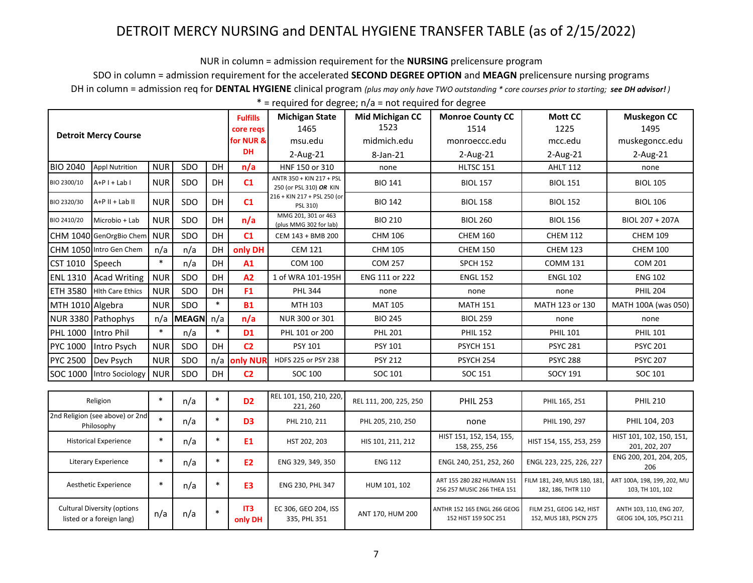NUR in column = admission requirement for the **NURSING** prelicensure program

SDO in column = admission requirement for the accelerated SECOND DEGREE OPTION and MEAGN prelicensure nursing programs

DH in column = admission req for DENTAL HYGIENE clinical program (plus may only have TWO outstanding \* core courses prior to starting; see DH advisor!)

|                                                                 |                                               |            |              |           | <b>Fulfills</b> | <b>Michigan State</b>                               | <b>Mid Michigan CC</b> | <b>Monroe County CC</b>                                 | <b>Mott CC</b>                                     | <b>Muskegon CC</b>                                 |
|-----------------------------------------------------------------|-----------------------------------------------|------------|--------------|-----------|-----------------|-----------------------------------------------------|------------------------|---------------------------------------------------------|----------------------------------------------------|----------------------------------------------------|
|                                                                 | <b>Detroit Mercy Course</b>                   |            |              |           | core regs       | 1465                                                | 1523                   | 1514                                                    | 1225                                               | 1495                                               |
|                                                                 |                                               |            |              |           | for NUR &       | msu.edu                                             | midmich.edu            | monroeccc.edu                                           | mcc.edu                                            | muskegoncc.edu                                     |
|                                                                 |                                               |            |              |           | <b>DH</b>       | $2$ -Aug-21                                         | 8-Jan-21               | $2$ -Aug-21                                             | $2$ -Aug-21                                        | $2$ -Aug-21                                        |
| <b>BIO 2040</b>                                                 | <b>Appl Nutrition</b>                         | <b>NUR</b> | SDO          | <b>DH</b> | n/a             | HNF 150 or 310                                      | none                   | HLTSC 151                                               | <b>AHLT 112</b>                                    | none                                               |
| BIO 2300/10                                                     | $A+P I + Lab I$                               | <b>NUR</b> | SDO          | DH        | C1              | ANTR 350 + KIN 217 + PSL<br>250 (or PSL 310) OR KIN | <b>BIO 141</b>         | <b>BIOL 157</b>                                         | <b>BIOL 151</b>                                    | <b>BIOL 105</b>                                    |
| BIO 2320/30                                                     | $A+P$ II + Lab II                             | <b>NUR</b> | SDO          | <b>DH</b> | C1              | 216 + KIN 217 + PSL 250 (or<br>PSL 310)             | <b>BIO 142</b>         | <b>BIOL 158</b>                                         | <b>BIOL 152</b>                                    | <b>BIOL 106</b>                                    |
| BIO 2410/20                                                     | Microbio + Lab                                | <b>NUR</b> | SDO          | DH        | n/a             | MMG 201, 301 or 463<br>(plus MMG 302 for lab)       | <b>BIO 210</b>         | <b>BIOL 260</b>                                         | <b>BIOL 156</b>                                    | BIOL 207 + 207A                                    |
|                                                                 | CHM 1040 GenOrgBio Chem                       | <b>NUR</b> | SDO          | <b>DH</b> | C1              | CEM 143 + BMB 200                                   | <b>CHM 106</b>         | <b>CHEM 160</b>                                         | <b>CHEM 112</b>                                    | <b>CHEM 109</b>                                    |
|                                                                 | CHM 1050 Intro Gen Chem                       | n/a        | n/a          | DH        | only DH         | <b>CEM 121</b>                                      | <b>CHM 105</b>         | <b>CHEM 150</b>                                         | <b>CHEM 123</b>                                    | <b>CHEM 100</b>                                    |
| <b>CST 1010</b>                                                 | <b>Speech</b>                                 |            | n/a          | DH        | A1              | <b>COM 100</b>                                      | <b>COM 257</b>         | <b>SPCH 152</b>                                         | <b>COMM 131</b>                                    | COM 201                                            |
| <b>ENL 1310</b>                                                 | <b>Acad Writing</b>                           | <b>NUR</b> | SDO          | DH        | A2              | 1 of WRA 101-195H                                   | ENG 111 or 222         | <b>ENGL 152</b>                                         | <b>ENGL 102</b>                                    | <b>ENG 102</b>                                     |
| <b>ETH 3580</b>                                                 | <b>Hith Care Ethics</b>                       | <b>NUR</b> | SDO          | DH        | F <sub>1</sub>  | <b>PHL 344</b>                                      | none                   | none                                                    | none                                               | <b>PHIL 204</b>                                    |
| MTH 1010 Algebra                                                |                                               | <b>NUR</b> | SDO          | $\ast$    | <b>B1</b>       | MTH 103                                             | <b>MAT 105</b>         | <b>MATH 151</b>                                         | MATH 123 or 130                                    | MATH 100A (was 050)                                |
|                                                                 | NUR 3380 Pathophys                            | n/a        | <b>MEAGN</b> | n/a       | n/a             | NUR 300 or 301                                      | <b>BIO 245</b>         | <b>BIOL 259</b>                                         | none                                               | none                                               |
| <b>PHL 1000</b>                                                 | Intro Phil                                    | $\ast$     | n/a          | $\ast$    | <b>D1</b>       | PHL 101 or 200                                      | <b>PHL 201</b>         | <b>PHIL 152</b>                                         | <b>PHIL 101</b>                                    | <b>PHIL 101</b>                                    |
| PYC 1000                                                        | Intro Psych                                   | <b>NUR</b> | SDO          | DH        | C <sub>2</sub>  | PSY 101                                             | <b>PSY 101</b>         | PSYCH 151                                               | <b>PSYC 281</b>                                    | <b>PSYC 201</b>                                    |
| <b>PYC 2500</b>                                                 | Dev Psych                                     | <b>NUR</b> | SDO          | n/a       | only NUR        | HDFS 225 or PSY 238                                 | <b>PSY 212</b>         | PSYCH 254                                               | <b>PSYC 288</b>                                    | <b>PSYC 207</b>                                    |
| SOC 1000                                                        | Intro Sociology                               | <b>NUR</b> | SDO          | <b>DH</b> | C <sub>2</sub>  | SOC 100                                             | SOC 101                | SOC 151                                                 | <b>SOCY 191</b>                                    | SOC 101                                            |
|                                                                 |                                               |            |              |           |                 |                                                     |                        |                                                         |                                                    |                                                    |
|                                                                 | Religion                                      | $\ast$     | n/a          | $\ast$    | D <sub>2</sub>  | REL 101, 150, 210, 220,<br>221, 260                 | REL 111, 200, 225, 250 | <b>PHIL 253</b>                                         | PHIL 165, 251                                      | <b>PHIL 210</b>                                    |
|                                                                 | 2nd Religion (see above) or 2nd<br>Philosophy | $\ast$     | n/a          | $\ast$    | D <sub>3</sub>  | PHL 210, 211                                        | PHL 205, 210, 250      | none                                                    | PHIL 190, 297                                      | PHIL 104, 203                                      |
| <b>Historical Experience</b>                                    |                                               | $\ast$     | n/a          | $\ast$    | E <sub>1</sub>  | HST 202, 203                                        | HIS 101, 211, 212      | HIST 151, 152, 154, 155,<br>158, 255, 256               | HIST 154, 155, 253, 259                            | HIST 101, 102, 150, 151,<br>201, 202, 207          |
| Literary Experience                                             |                                               | $\ast$     | n/a          | $\ast$    | E <sub>2</sub>  | ENG 329, 349, 350                                   | <b>ENG 112</b>         | ENGL 240, 251, 252, 260                                 | ENGL 223, 225, 226, 227                            | ENG 200, 201, 204, 205,<br>206                     |
| Aesthetic Experience                                            |                                               | $\ast$     | n/a          | $\ast$    | E <sub>3</sub>  | ENG 230, PHL 347                                    | HUM 101, 102           | ART 155 280 282 HUMAN 151<br>256 257 MUSIC 266 THEA 151 | FILM 181, 249, MUS 180, 181<br>182, 186, THTR 110  | ART 100A, 198, 199, 202, MU<br>103, TH 101, 102    |
| <b>Cultural Diversity (options</b><br>listed or a foreign lang) |                                               | n/a        | n/a          | $\ast$    | IT3<br>only DH  | EC 306, GEO 204, ISS<br>335, PHL 351                | ANT 170, HUM 200       | ANTHR 152 165 ENGL 266 GEOG<br>152 HIST 159 SOC 251     | FILM 251, GEOG 142, HIST<br>152, MUS 183, PSCN 275 | ANTH 103, 110, ENG 207,<br>GEOG 104, 105, PSCI 211 |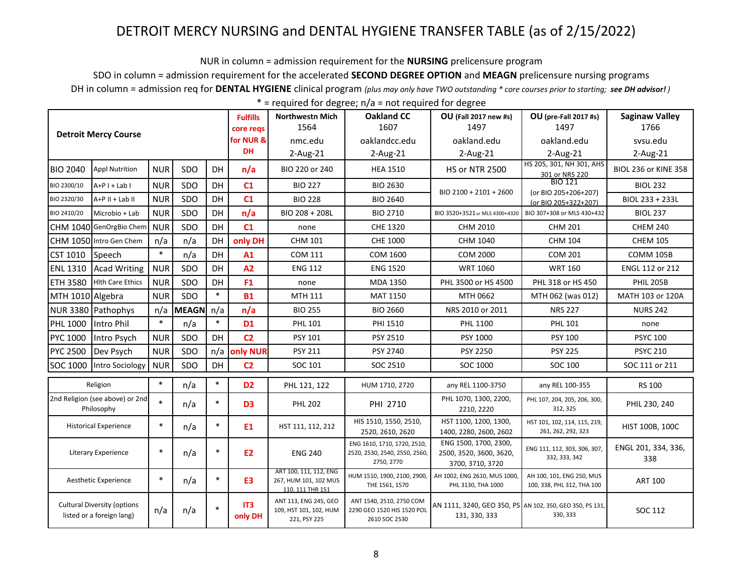NUR in column = admission requirement for the **NURSING** prelicensure program

SDO in column = admission requirement for the accelerated **SECOND DEGREE OPTION** and **MEAGN** prelicensure nursing programs

DH in column = admission req for **DENTAL HYGIENE** clinical program *(plus may only have TWO outstanding \* core courses prior to starting; see DH advisor! )*

|                                                                 |                                               |            |                |                                                                     | <b>Fulfills</b><br>core regs                  | <b>Northwestn Mich</b><br>1564                                  | <b>Oakland CC</b><br>1607                                                  | <b>OU</b> (Fall 2017 new #s)<br>1497                                      | <b>OU</b> (pre-Fall 2017 #s)<br>1497               | <b>Saginaw Valley</b><br>1766 |
|-----------------------------------------------------------------|-----------------------------------------------|------------|----------------|---------------------------------------------------------------------|-----------------------------------------------|-----------------------------------------------------------------|----------------------------------------------------------------------------|---------------------------------------------------------------------------|----------------------------------------------------|-------------------------------|
|                                                                 | <b>Detroit Mercy Course</b>                   |            |                |                                                                     | for NUR &                                     | nmc.edu                                                         | oaklandcc.edu                                                              | oakland.edu                                                               | oakland.edu                                        | sysu.edu                      |
|                                                                 |                                               |            |                |                                                                     | DH                                            | $2$ -Aug-21                                                     | 2-Aug-21                                                                   | $2-Aug-21$                                                                | $2$ -Aug- $21$                                     | $2$ -Aug-21                   |
| <b>BIO 2040</b>                                                 | <b>Appl Nutrition</b>                         | <b>NUR</b> | SDO            | DH                                                                  | n/a                                           | BIO 220 or 240                                                  | <b>HEA 1510</b>                                                            | <b>HS or NTR 2500</b>                                                     | HS 205, 301, NH 301, AHS<br>301 or NRS 220         | <b>BIOL 236 or KINE 358</b>   |
| BIO 2300/10                                                     | $A+P I + Lab I$                               | <b>NUR</b> | SDO            | DH                                                                  | C1                                            | <b>BIO 227</b>                                                  | <b>BIO 2630</b>                                                            | BIO 2100 + 2101 + 2600                                                    | BIO 121                                            | <b>BIOL 232</b>               |
| BIO 2320/30                                                     | $A+P$ II + Lab II                             | <b>NUR</b> | SDO            | DH                                                                  | C1                                            | <b>BIO 228</b>                                                  | <b>BIO 2640</b>                                                            |                                                                           | (or BIO 205+206+207)<br>(or BIO 205+322+207)       | BIOL 233 + 233L               |
| BIO 2410/20                                                     | Microbio + Lab                                | <b>NUR</b> | SDO            | DH                                                                  | n/a                                           | BIO 208 + 208L                                                  | <b>BIO 2710</b>                                                            | BIO 3520+3521 or MLS 4300+4320                                            | BIO 307+308 or MLS 430+432                         | <b>BIOL 237</b>               |
|                                                                 | CHM 1040 GenOrgBio Chem                       | <b>NUR</b> | SDO            | DH                                                                  | C1                                            | none                                                            | CHE 1320                                                                   | CHM 2010                                                                  | <b>CHM 201</b>                                     | <b>CHEM 240</b>               |
|                                                                 | CHM 1050 Intro Gen Chem                       | n/a        | n/a            | DH                                                                  | only DH                                       | CHM 101                                                         | CHE 1000                                                                   | CHM 1040                                                                  | <b>CHM 104</b>                                     | <b>CHEM 105</b>               |
| <b>CST 1010</b>                                                 | Speech                                        | $\ast$     | n/a            | DH                                                                  | A1                                            | <b>COM 111</b>                                                  | COM 1600                                                                   | <b>COM 2000</b>                                                           | <b>COM 201</b>                                     | COMM 105B                     |
| <b>ENL 1310</b>                                                 | <b>Acad Writing</b>                           | <b>NUR</b> | SDO            | DH                                                                  | A2                                            | <b>ENG 112</b>                                                  | <b>ENG 1520</b>                                                            | <b>WRT 1060</b>                                                           | <b>WRT 160</b>                                     | ENGL 112 or 212               |
| <b>ETH 3580</b>                                                 | <b>Hith Care Ethics</b>                       | <b>NUR</b> | SDO            | DH                                                                  | F <sub>1</sub>                                | none                                                            | MDA 1350                                                                   | PHL 3500 or HS 4500                                                       | PHL 318 or HS 450                                  | <b>PHIL 205B</b>              |
| MTH 1010 Algebra                                                |                                               | <b>NUR</b> | SDO            | $\ast$                                                              | <b>B1</b>                                     | MTH 111                                                         | <b>MAT 1150</b>                                                            | MTH 0662                                                                  | MTH 062 (was 012)                                  | MATH 103 or 120A              |
|                                                                 | NUR 3380 Pathophys                            | n/a        | <b>MEAGN</b>   | n/a                                                                 | n/a                                           | <b>BIO 255</b>                                                  | <b>BIO 2660</b>                                                            | NRS 2010 or 2011                                                          | <b>NRS 227</b>                                     | <b>NURS 242</b>               |
| <b>PHL 1000</b>                                                 | Intro Phil                                    | $\ast$     | n/a            | $\ast$                                                              | D <sub>1</sub>                                | <b>PHL 101</b>                                                  | PHI 1510                                                                   | PHL 1100                                                                  | <b>PHL 101</b>                                     | none                          |
| <b>PYC 1000</b>                                                 | Intro Psych                                   | <b>NUR</b> | SDO            | DH                                                                  | C <sub>2</sub>                                | PSY 101                                                         | PSY 2510                                                                   | PSY 1000                                                                  | <b>PSY 100</b>                                     | <b>PSYC 100</b>               |
| <b>PYC 2500</b>                                                 | Dev Psych                                     | <b>NUR</b> | SDO            | n/a                                                                 | only NUR                                      | <b>PSY 211</b>                                                  | PSY 2740                                                                   | PSY 2250                                                                  | <b>PSY 225</b>                                     | <b>PSYC 210</b>               |
| SOC 1000                                                        | Intro Sociology                               | <b>NUR</b> | SDO            | DH                                                                  | C <sub>2</sub>                                | SOC 101                                                         | SOC 2510                                                                   | SOC 1000                                                                  | SOC 100                                            | SOC 111 or 211                |
|                                                                 | Religion                                      | $\ast$     | n/a            | $\ast$                                                              | D <sub>2</sub>                                | PHL 121, 122                                                    | HUM 1710, 2720                                                             | any REL 1100-3750                                                         | any REL 100-355                                    | <b>RS 100</b>                 |
|                                                                 | 2nd Religion (see above) or 2nd<br>Philosophy | $\ast$     | n/a            | $\ast$                                                              | D <sub>3</sub>                                | <b>PHL 202</b>                                                  | PHI 2710                                                                   | PHL 1070, 1300, 2200,<br>2210, 2220                                       | PHL 107, 204, 205, 206, 300,<br>312, 325           | PHIL 230, 240                 |
|                                                                 | <b>Historical Experience</b>                  | $\ast$     | n/a            | $\ast$                                                              | E <sub>1</sub>                                | HST 111, 112, 212                                               | HIS 1510, 1550, 2510,<br>2520, 2610, 2620                                  | HST 1100, 1200, 1300,<br>1400, 2280, 2600, 2602                           | HST 101, 102, 114, 115, 219,<br>261, 262, 292, 323 | HIST 100B, 100C               |
| Literary Experience                                             |                                               | $\ast$     | n/a            | $\ast$                                                              | <b>E2</b>                                     | <b>ENG 240</b>                                                  | ENG 1610, 1710, 1720, 2510,<br>2520, 2530, 2540, 2550, 2560,<br>2750, 2770 | ENG 1500, 1700, 2300,<br>2500, 3520, 3600, 3620,<br>3700, 3710, 3720      | ENG 111, 112, 303, 306, 307,<br>332, 333, 342      | ENGL 201, 334, 336,<br>338    |
| $\ast$<br>n/a<br>Aesthetic Experience                           |                                               | $\ast$     | E <sub>3</sub> | ART 100, 111, 112, ENG<br>267, HUM 101, 102 MUS<br>110, 111 THR 151 | HUM 1510, 1900, 2100, 2900,<br>THE 1561, 1570 | AH 1002, ENG 2610, MUS 1000,<br>PHL 3130, THA 1000              | AH 100, 101, ENG 250, MUS<br>100, 338, PHL 312, THA 100                    | <b>ART 100</b>                                                            |                                                    |                               |
| <b>Cultural Diversity (options</b><br>listed or a foreign lang) |                                               | n/a        | n/a            | $\ast$                                                              | IT3<br>only DH                                | ANT 113, ENG 245, GEO<br>109, HST 101, 102, HUM<br>221, PSY 225 | ANT 1540, 2510, 2750 COM<br>2290 GEO 1520 HIS 1520 POL<br>2610 SOC 2530    | AN 1111, 3240, GEO 350, PS AN 102, 350, GEO 350, PS 131,<br>131, 330, 333 | 330, 333                                           | SOC 112                       |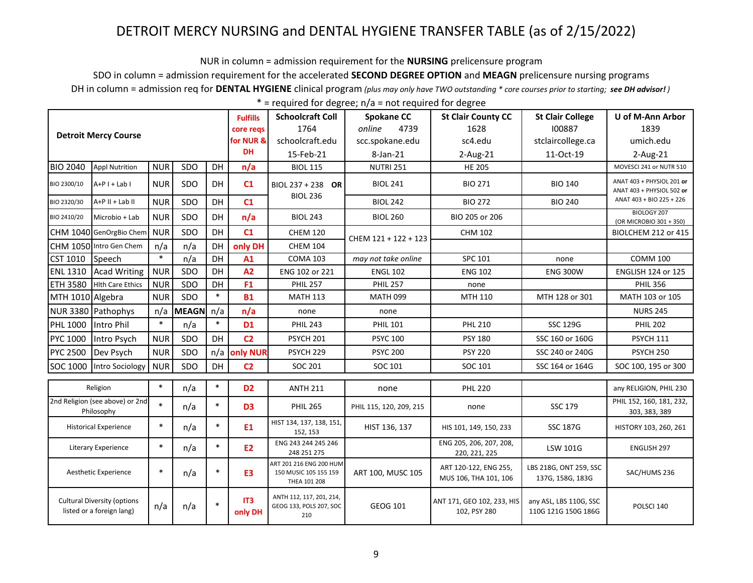NUR in column = admission requirement for the **NURSING** prelicensure program

SDO in column = admission requirement for the accelerated **SECOND DEGREE OPTION** and **MEAGN** prelicensure nursing programs

DH in column = admission req for **DENTAL HYGIENE** clinical program *(plus may only have TWO outstanding \* core courses prior to starting; see DH advisor! )*

| $*$ = required for degree; $n/a$ = not required for degree |  |  |
|------------------------------------------------------------|--|--|
|------------------------------------------------------------|--|--|

|                                                                 |                                               |            |                |                                    | <b>Fulfills</b>                                                  | <b>Schoolcraft Coll</b>                                    | <b>Spokane CC</b>                              | <b>St Clair County CC</b>                  | <b>St Clair College</b>                       | U of M-Ann Arbor                                       |
|-----------------------------------------------------------------|-----------------------------------------------|------------|----------------|------------------------------------|------------------------------------------------------------------|------------------------------------------------------------|------------------------------------------------|--------------------------------------------|-----------------------------------------------|--------------------------------------------------------|
|                                                                 | <b>Detroit Mercy Course</b>                   |            |                |                                    | core regs                                                        | 1764                                                       | 4739<br>online                                 | 1628                                       | 100887                                        | 1839                                                   |
|                                                                 |                                               |            |                |                                    | for NUR &                                                        | schoolcraft.edu                                            | scc.spokane.edu                                | sc4.edu                                    | stclaircollege.ca                             | umich.edu                                              |
|                                                                 |                                               |            |                |                                    | <b>DH</b>                                                        | 15-Feb-21                                                  | 8-Jan-21                                       | 2-Aug-21                                   | 11-Oct-19                                     | 2-Aug-21                                               |
| <b>BIO 2040</b>                                                 | <b>Appl Nutrition</b>                         | <b>NUR</b> | SDO            | DH                                 | n/a                                                              | <b>BIOL 115</b>                                            | <b>NUTRI 251</b>                               | <b>HE 205</b>                              |                                               | MOVESCI 241 or NUTR 510                                |
| BIO 2300/10                                                     | $A+P I + Lab I$                               | <b>NUR</b> | SDO            | DH                                 | C1                                                               | BIOL 237 + 238 OR                                          | <b>BIOL 241</b>                                | <b>BIO 271</b>                             | <b>BIO 140</b>                                | ANAT 403 + PHYSIOL 201 or<br>ANAT 403 + PHYSIOL 502 or |
| BIO 2320/30                                                     | A+P II + Lab II                               | <b>NUR</b> | SDO            | DH                                 | C1                                                               | <b>BIOL 236</b>                                            | <b>BIOL 242</b>                                | <b>BIO 272</b>                             | <b>BIO 240</b>                                | ANAT 403 + BIO 225 + 226                               |
| BIO 2410/20                                                     | Microbio + Lab                                | <b>NUR</b> | SDO            | DH                                 | n/a                                                              | <b>BIOL 243</b>                                            | <b>BIOL 260</b>                                | BIO 205 or 206                             |                                               | BIOLOGY 207<br>(OR MICROBIO 301 + 350)                 |
|                                                                 | CHM 1040 GenOrgBio Chem                       | <b>NUR</b> | SDO            | DH                                 | C1                                                               | <b>CHEM 120</b>                                            | CHEM 121 + 122 + 123                           | <b>CHM 102</b>                             |                                               | BIOLCHEM 212 or 415                                    |
|                                                                 | CHM 1050 Intro Gen Chem                       | n/a        | n/a            | DH                                 | only DH                                                          | <b>CHEM 104</b>                                            |                                                |                                            |                                               |                                                        |
| CST 1010                                                        | Speech                                        | $\ast$     | n/a            | DH                                 | A1                                                               | <b>COMA 103</b>                                            | may not take online                            | SPC 101                                    | none                                          | <b>COMM 100</b>                                        |
| <b>ENL 1310</b>                                                 | <b>Acad Writing</b>                           | <b>NUR</b> | SDO            | DH                                 | A2                                                               | ENG 102 or 221                                             | <b>ENGL 102</b>                                | <b>ENG 102</b>                             | <b>ENG 300W</b>                               | <b>ENGLISH 124 or 125</b>                              |
| <b>ETH 3580</b>                                                 | <b>Hith Care Ethics</b>                       | <b>NUR</b> | SDO            | DH                                 | F <sub>1</sub>                                                   | <b>PHIL 257</b>                                            | <b>PHIL 257</b>                                | none                                       |                                               | <b>PHIL 356</b>                                        |
| MTH 1010 Algebra                                                |                                               | <b>NUR</b> | SDO            | $\ast$                             | <b>B1</b>                                                        | <b>MATH 113</b>                                            | <b>MATH 099</b>                                | MTH 110                                    | MTH 128 or 301                                | MATH 103 or 105                                        |
|                                                                 | NUR 3380 Pathophys                            | n/a        | <b>MEAGN</b>   | n/a                                | n/a                                                              | none                                                       | none                                           |                                            |                                               | <b>NURS 245</b>                                        |
| <b>PHL 1000</b>                                                 | Intro Phil                                    | $\ast$     | n/a            | $\ast$                             | <b>D1</b>                                                        | <b>PHIL 243</b>                                            | <b>PHIL 101</b>                                | <b>PHL 210</b>                             | <b>SSC 129G</b>                               | <b>PHIL 202</b>                                        |
| PYC 1000                                                        | Intro Psych                                   | <b>NUR</b> | SDO            | DH                                 | C <sub>2</sub>                                                   | <b>PSYCH 201</b>                                           | <b>PSYC 100</b>                                | <b>PSY 180</b>                             | SSC 160 or 160G                               | <b>PSYCH 111</b>                                       |
| <b>PYC 2500</b>                                                 | Dev Psych                                     | <b>NUR</b> | SDO            | n/a                                | only NUR                                                         | PSYCH <sub>229</sub>                                       | <b>PSYC 200</b>                                | <b>PSY 220</b>                             | SSC 240 or 240G                               | <b>PSYCH 250</b>                                       |
| SOC 1000                                                        | Intro Sociology                               | <b>NUR</b> | SDO            | DH                                 | C <sub>2</sub>                                                   | SOC 201                                                    | SOC 101                                        | SOC 101                                    | SSC 164 or 164G                               | SOC 100, 195 or 300                                    |
|                                                                 | Religion                                      | $\ast$     | n/a            | $\ast$                             | D <sub>2</sub>                                                   | <b>ANTH 211</b>                                            | none                                           | <b>PHL 220</b>                             |                                               | any RELIGION, PHIL 230                                 |
|                                                                 | 2nd Religion (see above) or 2nd<br>Philosophy | $\ast$     | n/a            | $\ast$                             | D <sub>3</sub>                                                   | <b>PHIL 265</b>                                            | PHIL 115, 120, 209, 215                        | none                                       | <b>SSC 179</b>                                | PHIL 152, 160, 181, 232,<br>303, 383, 389              |
|                                                                 | <b>Historical Experience</b>                  | $\ast$     | n/a            | $\ast$                             | E <sub>1</sub>                                                   | HIST 134, 137, 138, 151,<br>152, 153                       | HIST 136, 137                                  | HIS 101, 149, 150, 233                     | <b>SSC 187G</b>                               | HISTORY 103, 260, 261                                  |
| $\ast$<br>$\ast$<br>n/a<br>Literary Experience                  |                                               |            | E <sub>2</sub> | ENG 243 244 245 246<br>248 251 275 |                                                                  | ENG 205, 206, 207, 208,<br>220, 221, 225                   | <b>LSW 101G</b>                                | <b>ENGLISH 297</b>                         |                                               |                                                        |
| $\ast$<br>Aesthetic Experience                                  |                                               | n/a        | $\ast$         | E <sub>3</sub>                     | ART 201 216 ENG 200 HUM<br>150 MUSIC 105 155 159<br>THEA 101 208 | ART 100, MUSC 105                                          | ART 120-122, ENG 255,<br>MUS 106, THA 101, 106 | LBS 218G, ONT 259, SSC<br>137G, 158G, 183G | SAC/HUMS 236                                  |                                                        |
| <b>Cultural Diversity (options</b><br>listed or a foreign lang) |                                               | n/a        | n/a            |                                    | IT3<br>only DH                                                   | ANTH 112, 117, 201, 214,<br>GEOG 133, POLS 207, SOC<br>210 | <b>GEOG 101</b>                                | ANT 171, GEO 102, 233, HIS<br>102, PSY 280 | any ASL, LBS 110G, SSC<br>110G 121G 150G 186G | POLSCI 140                                             |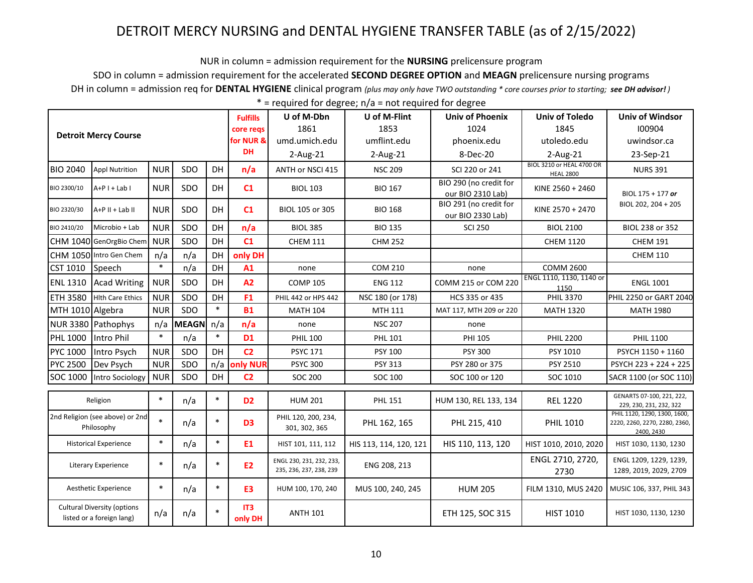NUR in column = admission requirement for the NURSING prelicensure program

SDO in column = admission requirement for the accelerated SECOND DEGREE OPTION and MEAGN prelicensure nursing programs

DH in column = admission req for DENTAL HYGIENE clinical program (plus may only have TWO outstanding \* core courses prior to starting; see DH advisor!)

|                                                                 |                         |            |              |           | <b>Fulfills</b> | U of M-Dbn                                          | U of M-Flint           | <b>Univ of Phoenix</b>                      | <b>Univ of Toledo</b>                         | <b>Univ of Windsor</b>                                                      |
|-----------------------------------------------------------------|-------------------------|------------|--------------|-----------|-----------------|-----------------------------------------------------|------------------------|---------------------------------------------|-----------------------------------------------|-----------------------------------------------------------------------------|
| <b>Detroit Mercy Course</b>                                     |                         |            |              |           | core regs       | 1861                                                | 1853                   | 1024                                        | 1845                                          | 100904                                                                      |
|                                                                 |                         |            |              |           | for NUR &       | umd.umich.edu                                       | umflint.edu            | phoenix.edu                                 | utoledo.edu                                   | uwindsor.ca                                                                 |
|                                                                 |                         |            |              |           | <b>DH</b>       | $2$ -Aug-21                                         | $2-Aug-21$             | 8-Dec-20                                    | 2-Aug-21                                      | 23-Sep-21                                                                   |
| <b>BIO 2040</b>                                                 | <b>Appl Nutrition</b>   | <b>NUR</b> | SDO          | DH        | n/a             | ANTH or NSCI 415                                    | <b>NSC 209</b>         | SCI 220 or 241                              | BIOL 3210 or HEAL 4700 OR<br><b>HEAL 2800</b> | <b>NURS 391</b>                                                             |
| BIO 2300/10                                                     | $A+P I + Lab I$         | <b>NUR</b> | SDO          | <b>DH</b> | C1              | <b>BIOL 103</b>                                     | <b>BIO 167</b>         | BIO 290 (no credit for<br>our BIO 2310 Lab) | KINE 2560 + 2460                              | BIOL 175 + 177 or                                                           |
| BIO 2320/30                                                     | A+P II + Lab II         | <b>NUR</b> | SDO          | DH        | C1              | BIOL 105 or 305                                     | <b>BIO 168</b>         | BIO 291 (no credit for<br>our BIO 2330 Lab) | KINE 2570 + 2470                              | BIOL 202, 204 + 205                                                         |
| BIO 2410/20                                                     | Microbio + Lab          | <b>NUR</b> | SDO          | DH        | n/a             | <b>BIOL 385</b>                                     | <b>BIO 135</b>         | <b>SCI 250</b>                              | <b>BIOL 2100</b>                              | BIOL 238 or 352                                                             |
|                                                                 | CHM 1040 GenOrgBio Chem | <b>NUR</b> | SDO          | DH        | C1              | <b>CHEM 111</b>                                     | <b>CHM 252</b>         |                                             | <b>CHEM 1120</b>                              | <b>CHEM 191</b>                                                             |
|                                                                 | CHM 1050 Intro Gen Chem | n/a        | n/a          | DH        | only DH         |                                                     |                        |                                             |                                               | <b>CHEM 110</b>                                                             |
| CST 1010                                                        | Speech                  | $\ast$     | n/a          | DH        | A1              | none                                                | <b>COM 210</b>         | none                                        | <b>COMM 2600</b>                              |                                                                             |
| <b>ENL 1310</b>                                                 | Acad Writing            | <b>NUR</b> | SDO          | <b>DH</b> | A2              | <b>COMP 105</b>                                     | <b>ENG 112</b>         | COMM 215 or COM 220                         | ENGL 1110, 1130, 1140 or<br>1150              | <b>ENGL 1001</b>                                                            |
| <b>ETH 3580</b>                                                 | <b>Hith Care Ethics</b> | <b>NUR</b> | SDO          | DH        | F <sub>1</sub>  | PHIL 442 or HPS 442                                 | NSC 180 (or 178)       | HCS 335 or 435                              | <b>PHIL 3370</b>                              | PHIL 2250 or GART 2040                                                      |
| MTH 1010 Algebra                                                |                         | <b>NUR</b> | SDO          | $\ast$    | <b>B1</b>       | <b>MATH 104</b>                                     | MTH 111                | MAT 117, MTH 209 or 220                     | <b>MATH 1320</b>                              | <b>MATH 1980</b>                                                            |
|                                                                 | NUR 3380 Pathophys      | n/a        | <b>MEAGN</b> | n/a       | n/a             | none                                                | <b>NSC 207</b>         | none                                        |                                               |                                                                             |
| <b>PHL 1000</b>                                                 | Intro Phil              | $\ast$     | n/a          | $\ast$    | <b>D1</b>       | <b>PHIL 100</b>                                     | <b>PHL 101</b>         | <b>PHI 105</b>                              | <b>PHIL 2200</b>                              | <b>PHIL 1100</b>                                                            |
| PYC 1000                                                        | Intro Psych             | <b>NUR</b> | SDO          | <b>DH</b> | C <sub>2</sub>  | <b>PSYC 171</b>                                     | <b>PSY 100</b>         | <b>PSY 300</b>                              | PSY 1010                                      | PSYCH 1150 + 1160                                                           |
| <b>PYC 2500</b>                                                 | Dev Psych               | <b>NUR</b> | SDO          |           | n/a only NUR    | <b>PSYC 300</b>                                     | <b>PSY 313</b>         | PSY 280 or 375                              | PSY 2510                                      | PSYCH 223 + 224 + 225                                                       |
| SOC 1000                                                        | Intro Sociology         | <b>NUR</b> | SDO          | <b>DH</b> | C <sub>2</sub>  | <b>SOC 200</b>                                      | SOC 100                | SOC 100 or 120                              | SOC 1010                                      | SACR 1100 (or SOC 110)                                                      |
| Religion                                                        |                         | $\ast$     | n/a          | $\ast$    | D <sub>2</sub>  | <b>HUM 201</b>                                      | <b>PHL 151</b>         | HUM 130, REL 133, 134                       | <b>REL 1220</b>                               | GENARTS 07-100, 221, 222,<br>229, 230, 231, 232, 322                        |
| 2nd Religion (see above) or 2nd<br>Philosophy                   |                         | $\ast$     | n/a          | $\ast$    | D <sub>3</sub>  | PHIL 120, 200, 234,<br>301, 302, 365                | PHL 162, 165           | PHL 215, 410                                | <b>PHIL 1010</b>                              | PHIL 1120, 1290, 1300, 1600,<br>2220, 2260, 2270, 2280, 2360,<br>2400, 2430 |
| <b>Historical Experience</b>                                    |                         | $\ast$     | n/a          | $\ast$    | E <sub>1</sub>  | HIST 101, 111, 112                                  | HIS 113, 114, 120, 121 | HIS 110, 113, 120                           | HIST 1010, 2010, 2020                         | HIST 1030, 1130, 1230                                                       |
| <b>Literary Experience</b>                                      |                         | $\ast$     | n/a          | $\ast$    | E <sub>2</sub>  | ENGL 230, 231, 232, 233,<br>235, 236, 237, 238, 239 | ENG 208, 213           |                                             | ENGL 2710, 2720,<br>2730                      | ENGL 1209, 1229, 1239,<br>1289, 2019, 2029, 2709                            |
| Aesthetic Experience                                            |                         | $\ast$     | n/a          | $\ast$    | E <sub>3</sub>  | HUM 100, 170, 240                                   | MUS 100, 240, 245      | <b>HUM 205</b>                              | FILM 1310, MUS 2420                           | MUSIC 106, 337, PHIL 343                                                    |
| <b>Cultural Diversity (options</b><br>listed or a foreign lang) |                         | n/a        | n/a          | $\ast$    | IT3<br>only DH  | <b>ANTH 101</b>                                     |                        | ETH 125, SOC 315                            | <b>HIST 1010</b>                              | HIST 1030, 1130, 1230                                                       |